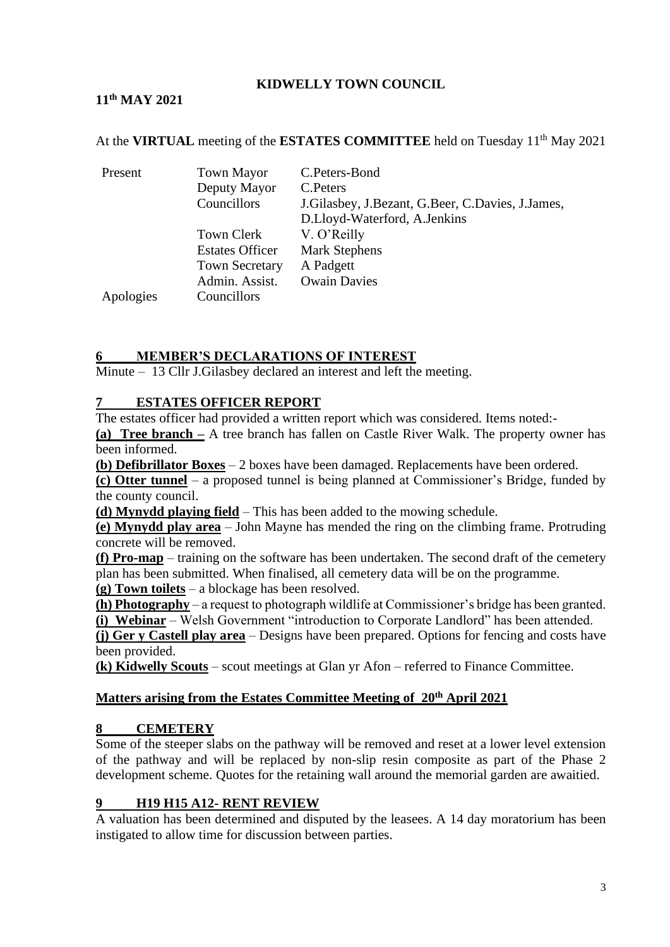## **KIDWELLY TOWN COUNCIL**

# **11th MAY 2021**

At the **VIRTUAL** meeting of the **ESTATES COMMITTEE** held on Tuesday 11<sup>th</sup> May 2021

| Present   | <b>Town Mayor</b>      | C.Peters-Bond                                    |  |
|-----------|------------------------|--------------------------------------------------|--|
|           | Deputy Mayor           | C. Peters                                        |  |
|           | Councillors            | J.Gilasbey, J.Bezant, G.Beer, C.Davies, J.James, |  |
|           |                        | D.Lloyd-Waterford, A.Jenkins                     |  |
|           | Town Clerk             | V. O'Reilly                                      |  |
|           | <b>Estates Officer</b> | <b>Mark Stephens</b>                             |  |
|           | <b>Town Secretary</b>  | A Padgett                                        |  |
|           | Admin. Assist.         | <b>Owain Davies</b>                              |  |
| Apologies | Councillors            |                                                  |  |

## **6 MEMBER'S DECLARATIONS OF INTEREST**

Minute – 13 Cllr J.Gilasbey declared an interest and left the meeting.

### **7 ESTATES OFFICER REPORT**

The estates officer had provided a written report which was considered. Items noted:-

**(a) Tree branch –** A tree branch has fallen on Castle River Walk. The property owner has been informed.

**(b) Defibrillator Boxes** – 2 boxes have been damaged. Replacements have been ordered.

**(c) Otter tunnel** – a proposed tunnel is being planned at Commissioner's Bridge, funded by the county council.

**(d) Mynydd playing field** – This has been added to the mowing schedule.

**(e) Mynydd play area** – John Mayne has mended the ring on the climbing frame. Protruding concrete will be removed.

**(f) Pro-map** – training on the software has been undertaken. The second draft of the cemetery plan has been submitted. When finalised, all cemetery data will be on the programme.

**(g) Town toilets** – a blockage has been resolved.

**(h) Photography** – a request to photograph wildlife at Commissioner's bridge has been granted. **(i) Webinar** – Welsh Government "introduction to Corporate Landlord" has been attended.

**(j) Ger y Castell play area** – Designs have been prepared. Options for fencing and costs have been provided.

**(k) Kidwelly Scouts** – scout meetings at Glan yr Afon – referred to Finance Committee.

### **Matters arising from the Estates Committee Meeting of 20th April 2021**

### **8 CEMETERY**

Some of the steeper slabs on the pathway will be removed and reset at a lower level extension of the pathway and will be replaced by non-slip resin composite as part of the Phase 2 development scheme. Quotes for the retaining wall around the memorial garden are awaitied.

### **9 H19 H15 A12- RENT REVIEW**

A valuation has been determined and disputed by the leasees. A 14 day moratorium has been instigated to allow time for discussion between parties.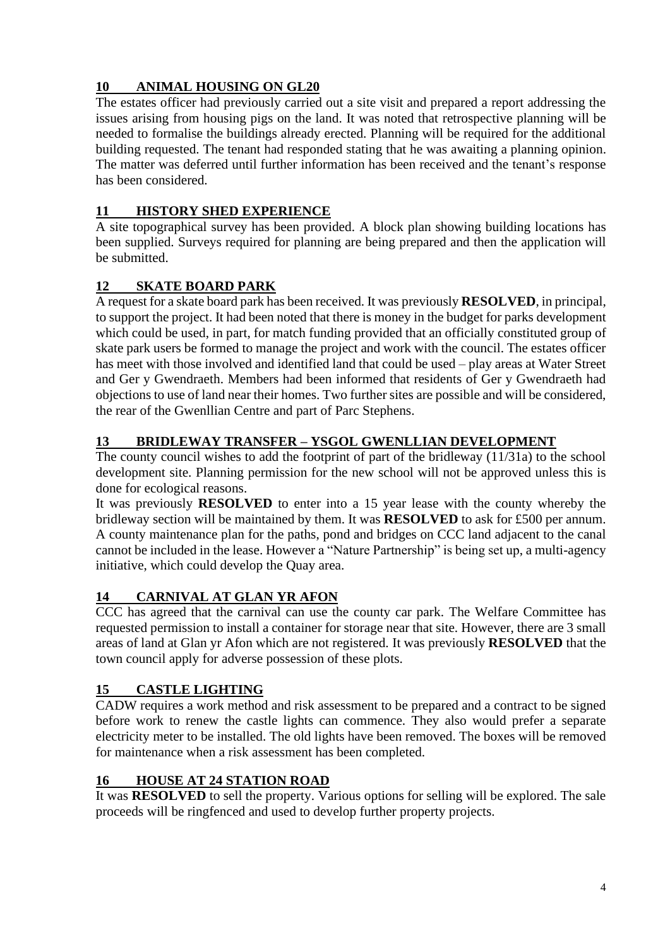# **10 ANIMAL HOUSING ON GL20**

The estates officer had previously carried out a site visit and prepared a report addressing the issues arising from housing pigs on the land. It was noted that retrospective planning will be needed to formalise the buildings already erected. Planning will be required for the additional building requested. The tenant had responded stating that he was awaiting a planning opinion. The matter was deferred until further information has been received and the tenant's response has been considered.

# **11 HISTORY SHED EXPERIENCE**

A site topographical survey has been provided. A block plan showing building locations has been supplied. Surveys required for planning are being prepared and then the application will be submitted.

# **12 SKATE BOARD PARK**

A request for a skate board park has been received. It was previously **RESOLVED**, in principal, to support the project. It had been noted that there is money in the budget for parks development which could be used, in part, for match funding provided that an officially constituted group of skate park users be formed to manage the project and work with the council. The estates officer has meet with those involved and identified land that could be used – play areas at Water Street and Ger y Gwendraeth. Members had been informed that residents of Ger y Gwendraeth had objections to use of land near their homes. Two further sites are possible and will be considered, the rear of the Gwenllian Centre and part of Parc Stephens.

# **13 BRIDLEWAY TRANSFER – YSGOL GWENLLIAN DEVELOPMENT**

The county council wishes to add the footprint of part of the bridleway (11/31a) to the school development site. Planning permission for the new school will not be approved unless this is done for ecological reasons.

It was previously **RESOLVED** to enter into a 15 year lease with the county whereby the bridleway section will be maintained by them. It was **RESOLVED** to ask for £500 per annum. A county maintenance plan for the paths, pond and bridges on CCC land adjacent to the canal cannot be included in the lease. However a "Nature Partnership" is being set up, a multi-agency initiative, which could develop the Quay area.

# **14 CARNIVAL AT GLAN YR AFON**

CCC has agreed that the carnival can use the county car park. The Welfare Committee has requested permission to install a container for storage near that site. However, there are 3 small areas of land at Glan yr Afon which are not registered. It was previously **RESOLVED** that the town council apply for adverse possession of these plots.

# **15 CASTLE LIGHTING**

CADW requires a work method and risk assessment to be prepared and a contract to be signed before work to renew the castle lights can commence. They also would prefer a separate electricity meter to be installed. The old lights have been removed. The boxes will be removed for maintenance when a risk assessment has been completed.

# **16 HOUSE AT 24 STATION ROAD**

It was **RESOLVED** to sell the property. Various options for selling will be explored. The sale proceeds will be ringfenced and used to develop further property projects.